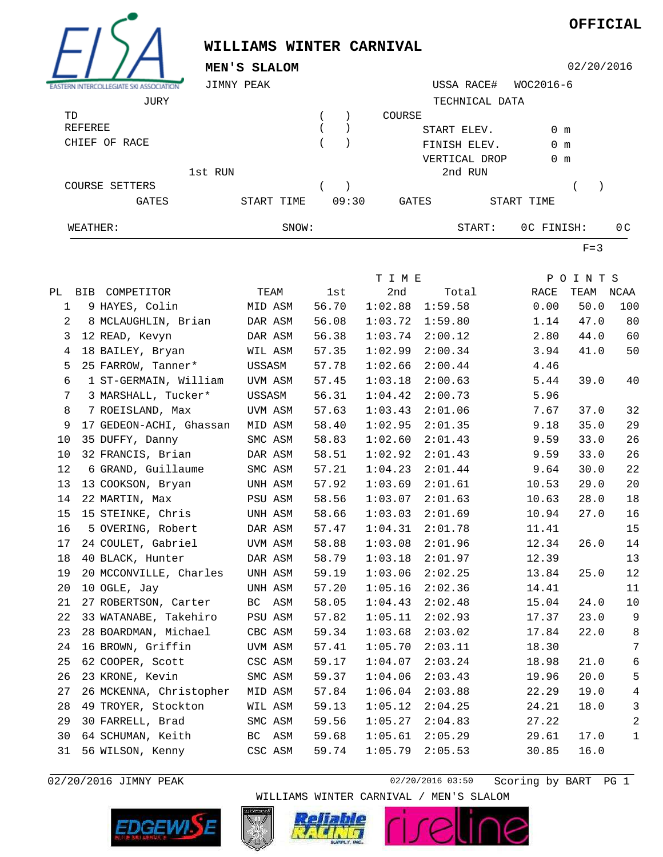

## **WILLIAMS WINTER CARNIVAL**

**OFFICIAL**

|                                                       | MEN'S SLALOM            |            | 02/20/2016                   |              |                |               |                   |                |  |
|-------------------------------------------------------|-------------------------|------------|------------------------------|--------------|----------------|---------------|-------------------|----------------|--|
| JIMNY PEAK<br>EASTERN INTERCOLLEGIATE SKI ASSOCIATION |                         |            |                              |              | USSA RACE#     | WOC2016-6     |                   |                |  |
|                                                       | JURY                    |            |                              |              | TECHNICAL DATA |               |                   |                |  |
| TD                                                    |                         |            | $\left( \right)$<br>$\left($ | COURSE       |                |               |                   |                |  |
|                                                       | <b>REFEREE</b>          |            | $\lambda$                    |              | START ELEV.    | 0 m           |                   |                |  |
|                                                       | CHIEF OF RACE           |            | $\left($                     | FINISH ELEV. |                | $0 \text{ m}$ |                   |                |  |
|                                                       |                         |            |                              |              | VERTICAL DROP  | $0 \text{ m}$ |                   |                |  |
|                                                       | 1st RUN                 |            |                              |              | 2nd RUN        |               |                   |                |  |
|                                                       | COURSE SETTERS          |            | $\lambda$                    |              |                |               |                   |                |  |
|                                                       | GATES                   | START TIME | 09:30                        | GATES        |                | START TIME    |                   |                |  |
|                                                       |                         |            |                              |              |                |               |                   |                |  |
| WEATHER:                                              |                         | SNOW:      |                              |              | START:         |               | OC FINISH:<br>0 C |                |  |
|                                                       |                         |            |                              |              |                |               | $F = 3$           |                |  |
|                                                       |                         |            |                              | T I M E      |                |               | POINTS            |                |  |
| PL                                                    | BIB COMPETITOR          | TEAM       | 1st                          | 2nd          | Total          | RACE          | TEAM NCAA         |                |  |
| $\mathbf 1$                                           | 9 HAYES, Colin          | MID ASM    | 56.70                        | 1:02.88      | 1:59.58        | 0.00          | 50.0              | 100            |  |
| 2                                                     | 8 MCLAUGHLIN, Brian     | DAR ASM    | 56.08                        | 1:03.72      | 1:59.80        | 1.14          | 47.0              | 80             |  |
| 3                                                     | 12 READ, Kevyn          | DAR ASM    | 56.38                        | 1:03.74      | 2:00.12        | 2.80          | 44.0              | 60             |  |
| 4                                                     | 18 BAILEY, Bryan        | WIL ASM    | 57.35                        | 1:02.99      | 2:00.34        | 3.94          | 41.0              | 50             |  |
| 5                                                     | 25 FARROW, Tanner*      | USSASM     | 57.78                        | 1:02.66      | 2:00.44        | 4.46          |                   |                |  |
| 6                                                     | 1 ST-GERMAIN, William   | UVM ASM    | 57.45                        | 1:03.18      | 2:00.63        | 5.44          | 39.0              | 40             |  |
| 7                                                     | 3 MARSHALL, Tucker*     | USSASM     | 56.31                        | 1:04.42      | 2:00.73        | 5.96          |                   |                |  |
| 8                                                     | 7 ROEISLAND, Max        | UVM ASM    | 57.63                        | 1:03.43      | 2:01.06        | 7.67          | 37.0              | 32             |  |
| 9                                                     | 17 GEDEON-ACHI, Ghassan | MID ASM    | 58.40                        | 1:02.95      | 2:01.35        | 9.18          | 35.0              | 29             |  |
| 10                                                    | 35 DUFFY, Danny         | SMC ASM    | 58.83                        | 1:02.60      | 2:01.43        | 9.59          | 33.0              | 26             |  |
| 10                                                    | 32 FRANCIS, Brian       | DAR ASM    | 58.51                        | 1:02.92      | 2:01.43        | 9.59          | 33.0              | 26             |  |
| 12                                                    | 6 GRAND, Guillaume      | SMC ASM    | 57.21                        | 1:04.23      | 2:01.44        | 9.64          | 30.0              | 22             |  |
| 13                                                    | 13 COOKSON, Bryan       | UNH ASM    | 57.92                        | 1:03.69      | 2:01.61        | 10.53         | 29.0              | 20             |  |
| 14                                                    | 22 MARTIN, Max          | PSU ASM    | 58.56                        | 1:03.07      | 2:01.63        | 10.63         | 28.0              | 18             |  |
| 15                                                    | 15 STEINKE, Chris       | UNH ASM    | 58.66                        | 1:03.03      | 2:01.69        | 10.94         | 27.0              | 16             |  |
| 16                                                    | 5 OVERING, Robert       | DAR ASM    | 57.47                        | 1:04.31      | 2:01.78        | 11.41         |                   | 15             |  |
| 17                                                    | 24 COULET, Gabriel      | UVM ASM    | 58.88                        | 1:03.08      | 2:01.96        | 12.34         | 26.0              | 14             |  |
| 18                                                    | 40 BLACK, Hunter        | DAR ASM    | 58.79                        | 1:03.18      | 2:01.97        | 12.39         |                   | 13             |  |
| 19                                                    | 20 MCCONVILLE, Charles  | UNH ASM    | 59.19                        | 1:03.06      | 2:02.25        | 13.84         | 25.0              | 12             |  |
| 20                                                    | 10 OGLE, Jay            | UNH ASM    | 57.20                        | 1:05.16      | 2:02.36        | 14.41         |                   | 11             |  |
| 21                                                    | 27 ROBERTSON, Carter    | BC ASM     | 58.05                        | 1:04.43      | 2:02.48        | 15.04         | 24.0              | $10\,$         |  |
| 22                                                    | 33 WATANABE, Takehiro   | PSU ASM    | 57.82                        | 1:05.11      | 2:02.93        | 17.37         | 23.0              | 9              |  |
| 23                                                    | 28 BOARDMAN, Michael    | CBC ASM    | 59.34                        | 1:03.68      | 2:03.02        | 17.84         | 22.0              | 8              |  |
| 24                                                    | 16 BROWN, Griffin       | UVM ASM    | 57.41                        | 1:05.70      | 2:03.11        | 18.30         |                   | 7              |  |
| 25                                                    | 62 COOPER, Scott        | CSC ASM    | 59.17                        | 1:04.07      | 2:03.24        | 18.98         | 21.0              | $\sqrt{6}$     |  |
| 26                                                    | 23 KRONE, Kevin         | SMC ASM    | 59.37                        | 1:04.06      | 2:03.43        | 19.96         | 20.0              | 5              |  |
| 27                                                    | 26 MCKENNA, Christopher | MID ASM    | 57.84                        | 1:06.04      | 2:03.88        | 22.29         | 19.0              | $\overline{4}$ |  |
| 28                                                    | 49 TROYER, Stockton     | WIL ASM    | 59.13                        | 1:05.12      | 2:04.25        | 24.21         | 18.0              | 3              |  |
| 29                                                    | 30 FARRELL, Brad        | SMC ASM    | 59.56                        | 1:05.27      | 2:04.83        | 27.22         |                   | $\overline{a}$ |  |
| 30                                                    | 64 SCHUMAN, Keith       | BC ASM     | 59.68                        | 1:05.61      | 2:05.29        | 29.61         | 17.0              | $\mathbf{1}$   |  |
| 31                                                    | 56 WILSON, Kenny        | CSC ASM    | 59.74                        | 1:05.79      | 2:05.53        | 30.85         | 16.0              |                |  |

02/20/2016 JIMNY PEAK 1 2002/2016 02/20/2016 03:50 Scoring by BART PG 1



WILLIAMS WINTER CARNIVAL / MEN'S SLALOM